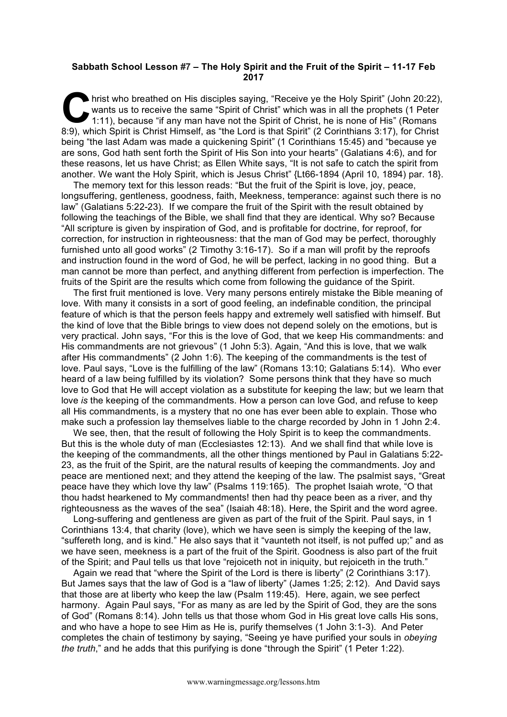## **Sabbath School Lesson #7 – The Holy Spirit and the Fruit of the Spirit – 11-17 Feb 2017**

hrist who breathed on His disciples saying, "Receive ye the Holy Spirit" (John 20:22), wants us to receive the same "Spirit of Christ" which was in all the prophets (1 Peter 1:11), because "if any man have not the Spirit o wants us to receive the same "Spirit of Christ" which was in all the prophets (1 Peter 1:11), because "if any man have not the Spirit of Christ, he is none of His" (Romans 8:9), which Spirit is Christ Himself, as "the Lord is that Spirit" (2 Corinthians 3:17), for Christ being "the last Adam was made a quickening Spirit" (1 Corinthians 15:45) and "because ye are sons, God hath sent forth the Spirit of His Son into your hearts" (Galatians 4:6), and for these reasons, let us have Christ; as Ellen White says, "It is not safe to catch the spirit from another. We want the Holy Spirit, which is Jesus Christ" {Lt66-1894 (April 10, 1894) par. 18}.

The memory text for this lesson reads: "But the fruit of the Spirit is love, joy, peace, longsuffering, gentleness, goodness, faith, Meekness, temperance: against such there is no law" (Galatians 5:22-23). If we compare the fruit of the Spirit with the result obtained by following the teachings of the Bible, we shall find that they are identical. Why so? Because "All scripture is given by inspiration of God, and is profitable for doctrine, for reproof, for correction, for instruction in righteousness: that the man of God may be perfect, thoroughly furnished unto all good works" (2 Timothy 3:16-17). So if a man will profit by the reproofs and instruction found in the word of God, he will be perfect, lacking in no good thing. But a man cannot be more than perfect, and anything different from perfection is imperfection. The fruits of the Spirit are the results which come from following the guidance of the Spirit.

The first fruit mentioned is love. Very many persons entirely mistake the Bible meaning of love. With many it consists in a sort of good feeling, an indefinable condition, the principal feature of which is that the person feels happy and extremely well satisfied with himself. But the kind of love that the Bible brings to view does not depend solely on the emotions, but is very practical. John says, "For this is the love of God, that we keep His commandments: and His commandments are not grievous" (1 John 5:3). Again, "And this is love, that we walk after His commandments" (2 John 1:6). The keeping of the commandments is the test of love. Paul says, "Love is the fulfilling of the law" (Romans 13:10; Galatians 5:14). Who ever heard of a law being fulfilled by its violation? Some persons think that they have so much love to God that He will accept violation as a substitute for keeping the law; but we learn that love *is* the keeping of the commandments. How a person can love God, and refuse to keep all His commandments, is a mystery that no one has ever been able to explain. Those who make such a profession lay themselves liable to the charge recorded by John in 1 John 2:4.

We see, then, that the result of following the Holy Spirit is to keep the commandments. But this is the whole duty of man (Ecclesiastes 12:13). And we shall find that while love is the keeping of the commandments, all the other things mentioned by Paul in Galatians 5:22- 23, as the fruit of the Spirit, are the natural results of keeping the commandments. Joy and peace are mentioned next; and they attend the keeping of the law. The psalmist says, "Great peace have they which love thy law" (Psalms 119:165). The prophet Isaiah wrote, "O that thou hadst hearkened to My commandments! then had thy peace been as a river, and thy righteousness as the waves of the sea" (Isaiah 48:18). Here, the Spirit and the word agree.

Long-suffering and gentleness are given as part of the fruit of the Spirit. Paul says, in 1 Corinthians 13:4, that charity (love), which we have seen is simply the keeping of the law, "suffereth long, and is kind." He also says that it "vaunteth not itself, is not puffed up;" and as we have seen, meekness is a part of the fruit of the Spirit. Goodness is also part of the fruit of the Spirit; and Paul tells us that love "rejoiceth not in iniquity, but rejoiceth in the truth."

Again we read that "where the Spirit of the Lord is there is liberty" (2 Corinthians 3:17). But James says that the law of God is a "law of liberty" (James 1:25; 2:12). And David says that those are at liberty who keep the law (Psalm 119:45). Here, again, we see perfect harmony. Again Paul says, "For as many as are led by the Spirit of God, they are the sons of God" (Romans 8:14). John tells us that those whom God in His great love calls His sons, and who have a hope to see Him as He is, purify themselves (1 John 3:1-3). And Peter completes the chain of testimony by saying, "Seeing ye have purified your souls in *obeying the truth*," and he adds that this purifying is done "through the Spirit" (1 Peter 1:22).